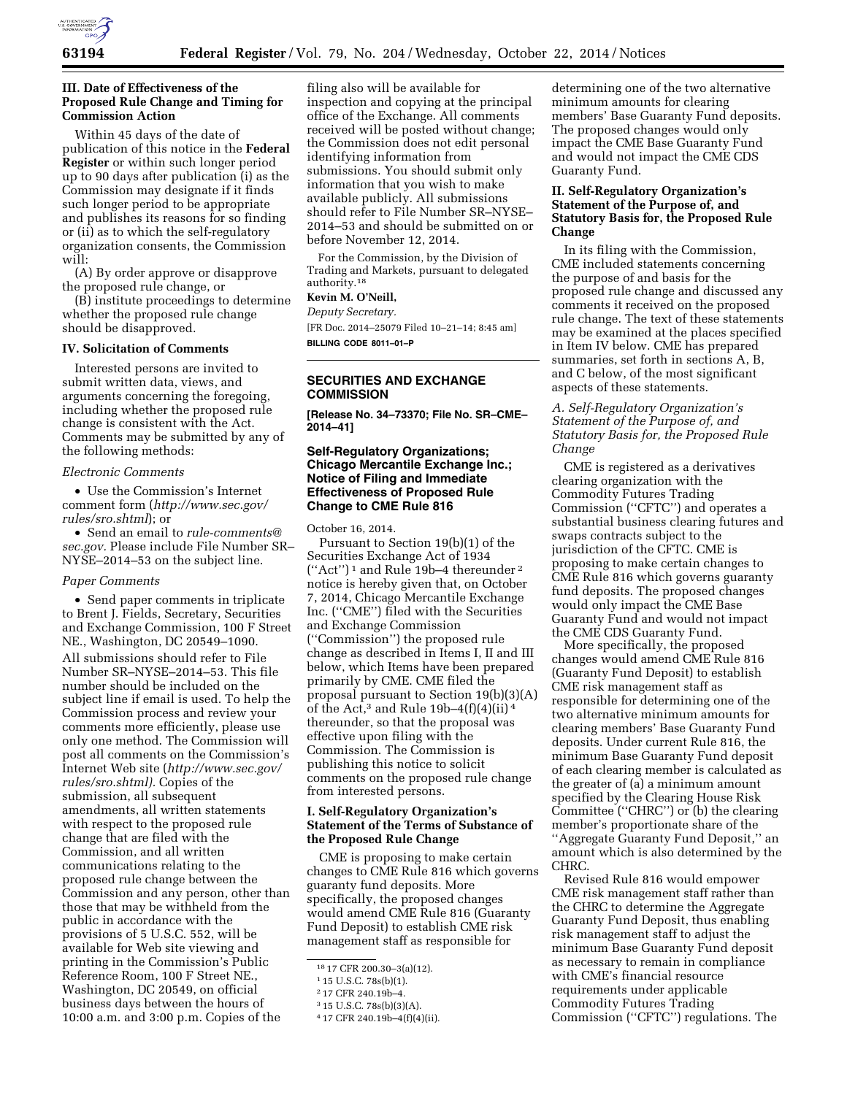

### **III. Date of Effectiveness of the Proposed Rule Change and Timing for Commission Action**

Within 45 days of the date of publication of this notice in the **Federal Register** or within such longer period up to 90 days after publication (i) as the Commission may designate if it finds such longer period to be appropriate and publishes its reasons for so finding or (ii) as to which the self-regulatory organization consents, the Commission will:

(A) By order approve or disapprove the proposed rule change, or

(B) institute proceedings to determine whether the proposed rule change should be disapproved.

### **IV. Solicitation of Comments**

Interested persons are invited to submit written data, views, and arguments concerning the foregoing, including whether the proposed rule change is consistent with the Act. Comments may be submitted by any of the following methods:

#### *Electronic Comments*

• Use the Commission's Internet comment form (*[http://www.sec.gov/](http://www.sec.gov/rules/sro.shtml) [rules/sro.shtml](http://www.sec.gov/rules/sro.shtml)*); or

• Send an email to *[rule-comments@](mailto:rule-comments@sec.gov) [sec.gov.](mailto:rule-comments@sec.gov)* Please include File Number SR– NYSE–2014–53 on the subject line.

### *Paper Comments*

• Send paper comments in triplicate to Brent J. Fields, Secretary, Securities and Exchange Commission, 100 F Street NE., Washington, DC 20549–1090. All submissions should refer to File Number SR–NYSE–2014–53. This file number should be included on the subject line if email is used. To help the Commission process and review your comments more efficiently, please use only one method. The Commission will post all comments on the Commission's Internet Web site (*[http://www.sec.gov/](http://www.sec.gov/rules/sro.shtml) [rules/sro.shtml\).](http://www.sec.gov/rules/sro.shtml)* Copies of the submission, all subsequent amendments, all written statements with respect to the proposed rule change that are filed with the Commission, and all written communications relating to the proposed rule change between the Commission and any person, other than those that may be withheld from the public in accordance with the provisions of 5 U.S.C. 552, will be available for Web site viewing and printing in the Commission's Public Reference Room, 100 F Street NE., Washington, DC 20549, on official business days between the hours of 10:00 a.m. and 3:00 p.m. Copies of the

filing also will be available for inspection and copying at the principal office of the Exchange. All comments received will be posted without change; the Commission does not edit personal identifying information from submissions. You should submit only information that you wish to make available publicly. All submissions should refer to File Number SR–NYSE– 2014–53 and should be submitted on or before November 12, 2014.

For the Commission, by the Division of Trading and Markets, pursuant to delegated authority.18

# **Kevin M. O'Neill,**

*Deputy Secretary.*  [FR Doc. 2014–25079 Filed 10–21–14; 8:45 am] **BILLING CODE 8011–01–P** 

# **SECURITIES AND EXCHANGE COMMISSION**

**[Release No. 34–73370; File No. SR–CME– 2014–41]** 

### **Self-Regulatory Organizations; Chicago Mercantile Exchange Inc.; Notice of Filing and Immediate Effectiveness of Proposed Rule Change to CME Rule 816**

October 16, 2014.

Pursuant to Section 19(b)(1) of the Securities Exchange Act of 1934 ("Act") $^{\rm 1}$  and Rule 19b–4 thereunder  $^{\rm 2}$ notice is hereby given that, on October 7, 2014, Chicago Mercantile Exchange Inc. (''CME'') filed with the Securities and Exchange Commission (''Commission'') the proposed rule change as described in Items I, II and III below, which Items have been prepared primarily by CME. CME filed the proposal pursuant to Section 19(b)(3)(A) of the Act,<sup>3</sup> and Rule 19b-4(f)(4)(ii)<sup>4</sup> thereunder, so that the proposal was effective upon filing with the Commission. The Commission is publishing this notice to solicit comments on the proposed rule change from interested persons.

### **I. Self-Regulatory Organization's Statement of the Terms of Substance of the Proposed Rule Change**

CME is proposing to make certain changes to CME Rule 816 which governs guaranty fund deposits. More specifically, the proposed changes would amend CME Rule 816 (Guaranty Fund Deposit) to establish CME risk management staff as responsible for

determining one of the two alternative minimum amounts for clearing members' Base Guaranty Fund deposits. The proposed changes would only impact the CME Base Guaranty Fund and would not impact the CME CDS Guaranty Fund.

### **II. Self-Regulatory Organization's Statement of the Purpose of, and Statutory Basis for, the Proposed Rule Change**

In its filing with the Commission, CME included statements concerning the purpose of and basis for the proposed rule change and discussed any comments it received on the proposed rule change. The text of these statements may be examined at the places specified in Item IV below. CME has prepared summaries, set forth in sections A, B, and C below, of the most significant aspects of these statements.

*A. Self-Regulatory Organization's Statement of the Purpose of, and Statutory Basis for, the Proposed Rule Change* 

CME is registered as a derivatives clearing organization with the Commodity Futures Trading Commission (''CFTC'') and operates a substantial business clearing futures and swaps contracts subject to the jurisdiction of the CFTC. CME is proposing to make certain changes to CME Rule 816 which governs guaranty fund deposits. The proposed changes would only impact the CME Base Guaranty Fund and would not impact the CME CDS Guaranty Fund.

More specifically, the proposed changes would amend CME Rule 816 (Guaranty Fund Deposit) to establish CME risk management staff as responsible for determining one of the two alternative minimum amounts for clearing members' Base Guaranty Fund deposits. Under current Rule 816, the minimum Base Guaranty Fund deposit of each clearing member is calculated as the greater of (a) a minimum amount specified by the Clearing House Risk Committee (''CHRC'') or (b) the clearing member's proportionate share of the ''Aggregate Guaranty Fund Deposit,'' an amount which is also determined by the CHRC.

Revised Rule 816 would empower CME risk management staff rather than the CHRC to determine the Aggregate Guaranty Fund Deposit, thus enabling risk management staff to adjust the minimum Base Guaranty Fund deposit as necessary to remain in compliance with CME's financial resource requirements under applicable Commodity Futures Trading Commission (''CFTC'') regulations. The

<sup>18</sup> 17 CFR 200.30–3(a)(12).

<sup>1</sup> 15 U.S.C. 78s(b)(1).

<sup>2</sup> 17 CFR 240.19b–4.

<sup>3</sup> 15 U.S.C. 78s(b)(3)(A).

<sup>4</sup> 17 CFR 240.19b–4(f)(4)(ii).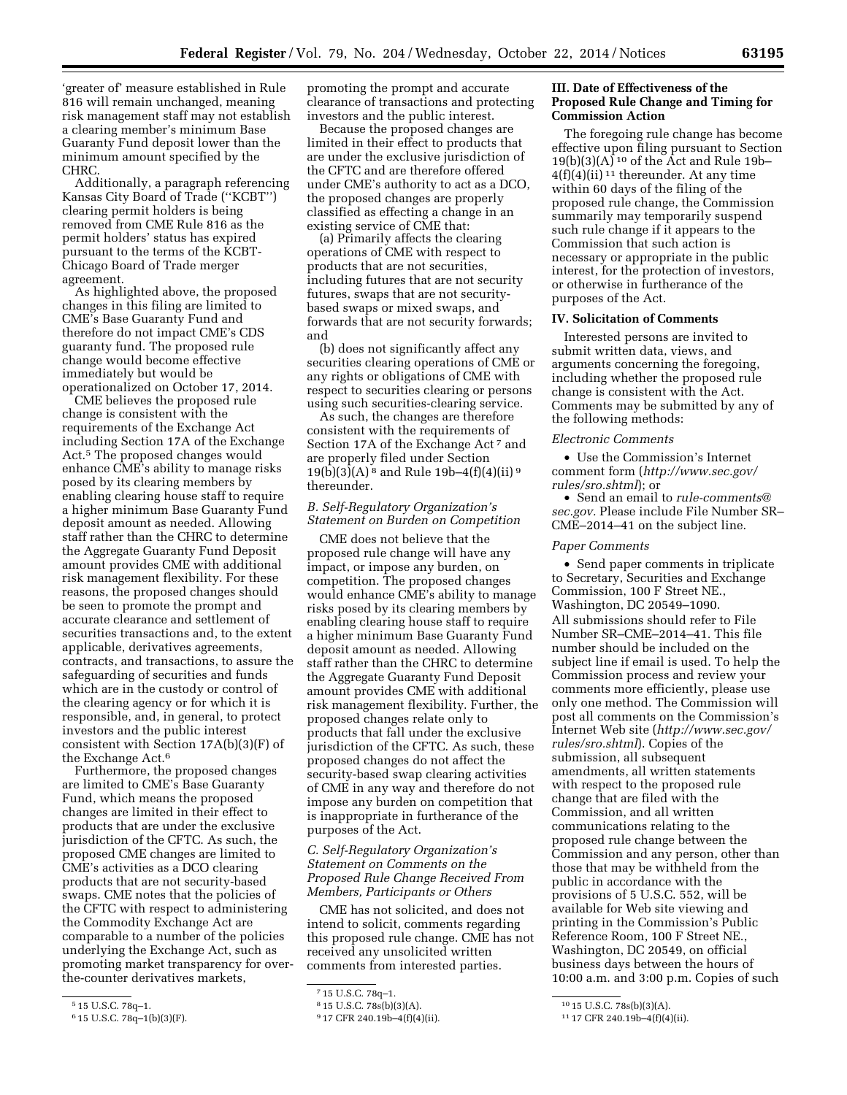'greater of' measure established in Rule 816 will remain unchanged, meaning risk management staff may not establish a clearing member's minimum Base Guaranty Fund deposit lower than the minimum amount specified by the CHRC.

Additionally, a paragraph referencing Kansas City Board of Trade (''KCBT'') clearing permit holders is being removed from CME Rule 816 as the permit holders' status has expired pursuant to the terms of the KCBT-Chicago Board of Trade merger agreement.

As highlighted above, the proposed changes in this filing are limited to CME's Base Guaranty Fund and therefore do not impact CME's CDS guaranty fund. The proposed rule change would become effective immediately but would be operationalized on October 17, 2014.

CME believes the proposed rule change is consistent with the requirements of the Exchange Act including Section 17A of the Exchange Act.5 The proposed changes would enhance CME's ability to manage risks posed by its clearing members by enabling clearing house staff to require a higher minimum Base Guaranty Fund deposit amount as needed. Allowing staff rather than the CHRC to determine the Aggregate Guaranty Fund Deposit amount provides CME with additional risk management flexibility. For these reasons, the proposed changes should be seen to promote the prompt and accurate clearance and settlement of securities transactions and, to the extent applicable, derivatives agreements, contracts, and transactions, to assure the safeguarding of securities and funds which are in the custody or control of the clearing agency or for which it is responsible, and, in general, to protect investors and the public interest consistent with Section 17A(b)(3)(F) of the Exchange Act.6

Furthermore, the proposed changes are limited to CME's Base Guaranty Fund, which means the proposed changes are limited in their effect to products that are under the exclusive jurisdiction of the CFTC. As such, the proposed CME changes are limited to CME's activities as a DCO clearing products that are not security-based swaps. CME notes that the policies of the CFTC with respect to administering the Commodity Exchange Act are comparable to a number of the policies underlying the Exchange Act, such as promoting market transparency for overthe-counter derivatives markets,

promoting the prompt and accurate clearance of transactions and protecting investors and the public interest.

Because the proposed changes are limited in their effect to products that are under the exclusive jurisdiction of the CFTC and are therefore offered under CME's authority to act as a DCO, the proposed changes are properly classified as effecting a change in an existing service of CME that:

(a) Primarily affects the clearing operations of CME with respect to products that are not securities, including futures that are not security futures, swaps that are not securitybased swaps or mixed swaps, and forwards that are not security forwards; and

(b) does not significantly affect any securities clearing operations of CME or any rights or obligations of CME with respect to securities clearing or persons using such securities-clearing service.

As such, the changes are therefore consistent with the requirements of Section 17A of the Exchange Act<sup>7</sup> and are properly filed under Section  $19(b)(3)(A)^8$  and Rule 19b-4(f)(4)(ii) 9 thereunder.

# *B. Self-Regulatory Organization's Statement on Burden on Competition*

CME does not believe that the proposed rule change will have any impact, or impose any burden, on competition. The proposed changes would enhance CME's ability to manage risks posed by its clearing members by enabling clearing house staff to require a higher minimum Base Guaranty Fund deposit amount as needed. Allowing staff rather than the CHRC to determine the Aggregate Guaranty Fund Deposit amount provides CME with additional risk management flexibility. Further, the proposed changes relate only to products that fall under the exclusive jurisdiction of the CFTC. As such, these proposed changes do not affect the security-based swap clearing activities of CME in any way and therefore do not impose any burden on competition that is inappropriate in furtherance of the purposes of the Act.

# *C. Self-Regulatory Organization's Statement on Comments on the Proposed Rule Change Received From Members, Participants or Others*

CME has not solicited, and does not intend to solicit, comments regarding this proposed rule change. CME has not received any unsolicited written comments from interested parties.

### **III. Date of Effectiveness of the Proposed Rule Change and Timing for Commission Action**

The foregoing rule change has become effective upon filing pursuant to Section  $19(b)(3)(A)$ <sup>10</sup> of the Act and Rule 19b- $4(f)(4)(ii)$ <sup>11</sup> thereunder. At any time within 60 days of the filing of the proposed rule change, the Commission summarily may temporarily suspend such rule change if it appears to the Commission that such action is necessary or appropriate in the public interest, for the protection of investors, or otherwise in furtherance of the purposes of the Act.

# **IV. Solicitation of Comments**

Interested persons are invited to submit written data, views, and arguments concerning the foregoing, including whether the proposed rule change is consistent with the Act. Comments may be submitted by any of the following methods:

#### *Electronic Comments*

• Use the Commission's Internet comment form (*[http://www.sec.gov/](http://www.sec.gov/rules/sro.shtml) [rules/sro.shtml](http://www.sec.gov/rules/sro.shtml)*); or

• Send an email to *[rule-comments@](mailto:rule-comments@sec.gov) [sec.gov.](mailto:rule-comments@sec.gov)* Please include File Number SR– CME–2014–41 on the subject line.

### *Paper Comments*

• Send paper comments in triplicate to Secretary, Securities and Exchange Commission, 100 F Street NE., Washington, DC 20549–1090. All submissions should refer to File Number SR–CME–2014–41. This file number should be included on the subject line if email is used. To help the Commission process and review your comments more efficiently, please use only one method. The Commission will post all comments on the Commission's Internet Web site (*[http://www.sec.gov/](http://www.sec.gov/rules/sro.shtml) [rules/sro.shtml](http://www.sec.gov/rules/sro.shtml)*). Copies of the submission, all subsequent amendments, all written statements with respect to the proposed rule change that are filed with the Commission, and all written communications relating to the proposed rule change between the Commission and any person, other than those that may be withheld from the public in accordance with the provisions of 5 U.S.C. 552, will be available for Web site viewing and printing in the Commission's Public Reference Room, 100 F Street NE., Washington, DC 20549, on official business days between the hours of 10:00 a.m. and 3:00 p.m. Copies of such

<sup>5</sup> 15 U.S.C. 78q–1.

<sup>6</sup> 15 U.S.C. 78q–1(b)(3)(F).

<sup>7</sup> 15 U.S.C. 78q–1.

<sup>8</sup> 15 U.S.C. 78s(b)(3)(A).

<sup>9</sup> 17 CFR 240.19b–4(f)(4)(ii).

<sup>10</sup> 15 U.S.C. 78s(b)(3)(A).

<sup>11</sup> 17 CFR 240.19b–4(f)(4)(ii).